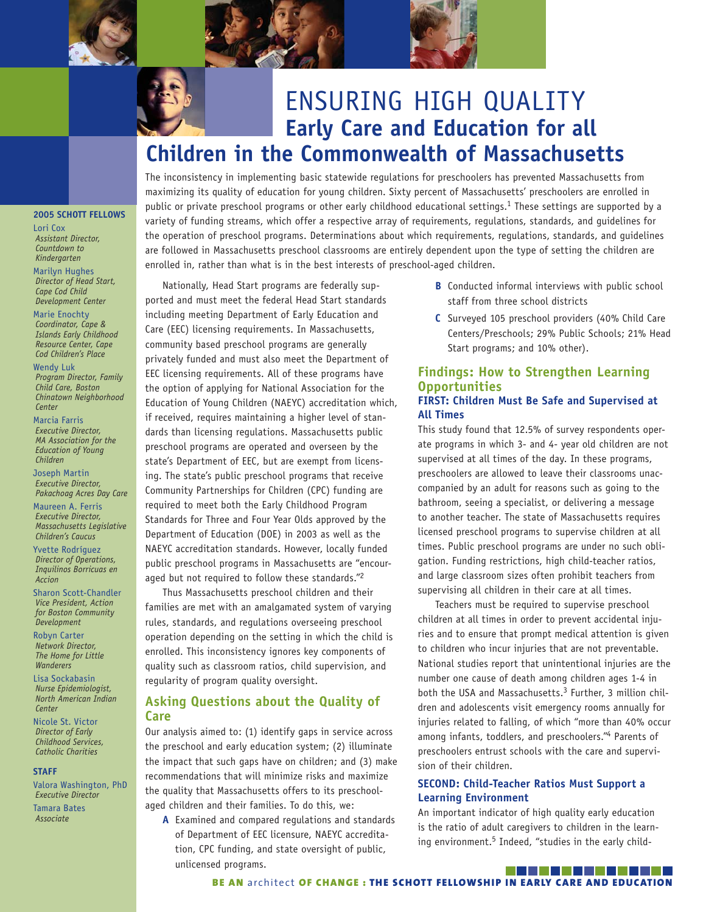



The inconsistency in implementing basic statewide regulations for preschoolers has prevented Massachusetts from maximizing its quality of education for young children. Sixty percent of Massachusetts' preschoolers are enrolled in public or private preschool programs or other early childhood educational settings.<sup>1</sup> These settings are supported by a variety of funding streams, which offer a respective array of requirements, regulations, standards, and guidelines for the operation of preschool programs. Determinations about which requirements, regulations, standards, and guidelines are followed in Massachusetts preschool classrooms are entirely dependent upon the type of setting the children are enrolled in, rather than what is in the best interests of preschool-aged children.

*Development Center* Marie Enochty *Coordinator, Cape & Islands Early Childhood Resource Center, Cape Cod Children's Place*

**2005 SCHOTT FELLOWS**

Lori Cox *Assistant Director, Countdown to Kindergarten* Marilyn Hughes *Director of Head Start, Cape Cod Child* 

Wendy Luk *Program Director, Family Child Care, Boston Chinatown Neighborhood Center*

Marcia Farris *Executive Director, MA Association for the Education of Young Children*

Joseph Martin *Executive Director, Pakachoag Acres Day Care*

Maureen A. Ferris *Executive Director, Massachusetts Legislative Children's Caucus*

Yvette Rodríguez *Director of Operations, Inquilinos Borricuas en Accion*

Sharon Scott-Chandler *Vice President, Action for Boston Community Development*

Robyn Carter *Network Director, The Home for Little Wanderers*

Lisa Sockabasin *Nurse Epidemiologist, North American Indian Center*

Nicole St. Victor *Director of Early Childhood Services, Catholic Charities*

#### **STAFF**

Valora Washington, PhD *Executive Director*

Tamara Bates *Associate*

Nationally, Head Start programs are federally supported and must meet the federal Head Start standards including meeting Department of Early Education and Care (EEC) licensing requirements. In Massachusetts, community based preschool programs are generally privately funded and must also meet the Department of EEC licensing requirements. All of these programs have the option of applying for National Association for the Education of Young Children (NAEYC) accreditation which, if received, requires maintaining a higher level of standards than licensing regulations. Massachusetts public preschool programs are operated and overseen by the state's Department of EEC, but are exempt from licensing. The state's public preschool programs that receive Community Partnerships for Children (CPC) funding are required to meet both the Early Childhood Program Standards for Three and Four Year Olds approved by the Department of Education (DOE) in 2003 as well as the NAEYC accreditation standards. However, locally funded public preschool programs in Massachusetts are "encouraged but not required to follow these standards."2

Thus Massachusetts preschool children and their families are met with an amalgamated system of varying rules, standards, and regulations overseeing preschool operation depending on the setting in which the child is enrolled. This inconsistency ignores key components of quality such as classroom ratios, child supervision, and regularity of program quality oversight.

# **Asking Questions about the Quality of Care**

Our analysis aimed to: (1) identify gaps in service across the preschool and early education system; (2) illuminate the impact that such gaps have on children; and (3) make recommendations that will minimize risks and maximize the quality that Massachusetts offers to its preschoolaged children and their families. To do this, we:

**A** Examined and compared regulations and standards of Department of EEC licensure, NAEYC accreditation, CPC funding, and state oversight of public, unlicensed programs.

- **B** Conducted informal interviews with public school staff from three school districts
- **C** Surveyed 105 preschool providers (40% Child Care Centers/Preschools; 29% Public Schools; 21% Head Start programs; and 10% other).

## **Findings: How to Strengthen Learning Opportunities FIRST: Children Must Be Safe and Supervised at All Times**

This study found that 12.5% of survey respondents operate programs in which 3- and 4- year old children are not supervised at all times of the day. In these programs, preschoolers are allowed to leave their classrooms unaccompanied by an adult for reasons such as going to the bathroom, seeing a specialist, or delivering a message to another teacher. The state of Massachusetts requires licensed preschool programs to supervise children at all times. Public preschool programs are under no such obligation. Funding restrictions, high child-teacher ratios, and large classroom sizes often prohibit teachers from supervising all children in their care at all times.

Teachers must be required to supervise preschool children at all times in order to prevent accidental injuries and to ensure that prompt medical attention is given to children who incur injuries that are not preventable. National studies report that unintentional injuries are the number one cause of death among children ages 1-4 in both the USA and Massachusetts.<sup>3</sup> Further, 3 million children and adolescents visit emergency rooms annually for injuries related to falling, of which "more than 40% occur among infants, toddlers, and preschoolers."4 Parents of preschoolers entrust schools with the care and supervision of their children.

## **SECOND: Child-Teacher Ratios Must Support a Learning Environment**

An important indicator of high quality early education is the ratio of adult caregivers to children in the learning environment.<sup>5</sup> Indeed, "studies in the early child-

#### . . . . . **BE AN architect OF CHANGE : THE SCHOTT FELLOWSHIP IN EARLY CARE AND EDUCATION**